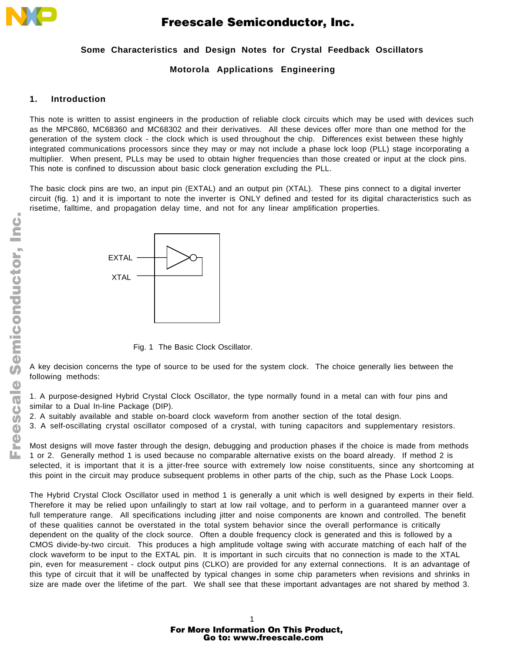

## **Some Characteristics and Design Notes for Crystal Feedback Oscillators**

### **Motorola Applications Engineering**

### **1. Introduction**

This note is written to assist engineers in the production of reliable clock circuits which may be used with devices such as the MPC860, MC68360 and MC68302 and their derivatives. All these devices offer more than one method for the generation of the system clock - the clock which is used throughout the chip. Differences exist between these highly integrated communications processors since they may or may not include a phase lock loop (PLL) stage incorporating a multiplier. When present, PLLs may be used to obtain higher frequencies than those created or input at the clock pins. This note is confined to discussion about basic clock generation excluding the PLL.

The basic clock pins are two, an input pin (EXTAL) and an output pin (XTAL). These pins connect to a digital inverter circuit (fig. 1) and it is important to note the inverter is ONLY defined and tested for its digital characteristics such as risetime, falltime, and propagation delay time, and not for any linear amplification properties.



Fig. 1 The Basic Clock Oscillator.

A key decision concerns the type of source to be used for the system clock. The choice generally lies between the following methods:

1. A purpose-designed Hybrid Crystal Clock Oscillator, the type normally found in a metal can with four pins and similar to a Dual In-line Package (DIP).

2. A suitably available and stable on-board clock waveform from another section of the total design.

3. A self-oscillating crystal oscillator composed of a crystal, with tuning capacitors and supplementary resistors.

Most designs will move faster through the design, debugging and production phases if the choice is made from methods 1 or 2. Generally method 1 is used because no comparable alternative exists on the board already. If method 2 is selected, it is important that it is a jitter-free source with extremely low noise constituents, since any shortcoming at this point in the circuit may produce subsequent problems in other parts of the chip, such as the Phase Lock Loops.

The Hybrid Crystal Clock Oscillator used in method 1 is generally a unit which is well designed by experts in their field. Therefore it may be relied upon unfailingly to start at low rail voltage, and to perform in a guaranteed manner over a full temperature range. All specifications including jitter and noise components are known and controlled. The benefit of these qualities cannot be overstated in the total system behavior since the overall performance is critically dependent on the quality of the clock source. Often a double frequency clock is generated and this is followed by a CMOS divide-by-two circuit. This produces a high amplitude voltage swing with accurate matching of each half of the clock waveform to be input to the EXTAL pin. It is important in such circuits that no connection is made to the XTAL pin, even for measurement - clock output pins (CLKO) are provided for any external connections. It is an advantage of this type of circuit that it will be unaffected by typical changes in some chip parameters when revisions and shrinks in size are made over the lifetime of the part. We shall see that these important advantages are not shared by method 3.

F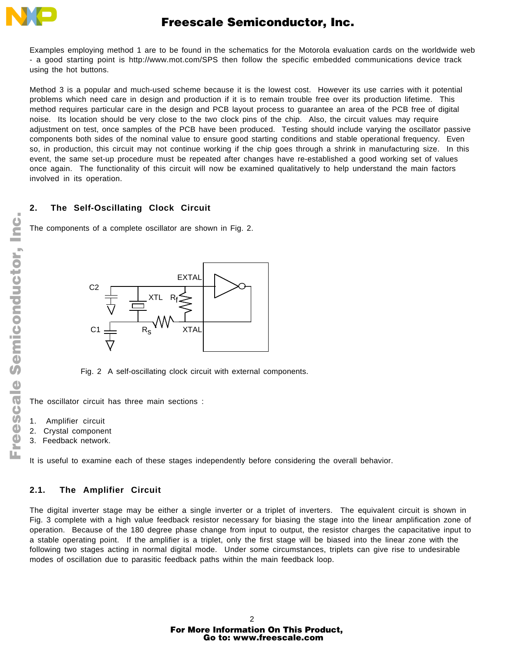

Examples employing method 1 are to be found in the schematics for the Motorola evaluation cards on the worldwide web - a good starting point is http://www.mot.com/SPS then follow the specific embedded communications device track using the hot buttons.

Method 3 is a popular and much-used scheme because it is the lowest cost. However its use carries with it potential problems which need care in design and production if it is to remain trouble free over its production lifetime. This method requires particular care in the design and PCB layout process to guarantee an area of the PCB free of digital noise. Its location should be very close to the two clock pins of the chip. Also, the circuit values may require adjustment on test, once samples of the PCB have been produced. Testing should include varying the oscillator passive components both sides of the nominal value to ensure good starting conditions and stable operational frequency. Even so, in production, this circuit may not continue working if the chip goes through a shrink in manufacturing size. In this event, the same set-up procedure must be repeated after changes have re-established a good working set of values once again. The functionality of this circuit will now be examined qualitatively to help understand the main factors involved in its operation.

### **2. The Self-Oscillating Clock Circuit**

The components of a complete oscillator are shown in Fig. 2.



Fig. 2 A self-oscillating clock circuit with external components.

The oscillator circuit has three main sections :

- 1. Amplifier circuit
- 2. Crystal component
- 3. Feedback network.

It is useful to examine each of these stages independently before considering the overall behavior.

#### **2.1. The Amplifier Circuit**

The digital inverter stage may be either a single inverter or a triplet of inverters. The equivalent circuit is shown in Fig. 3 complete with a high value feedback resistor necessary for biasing the stage into the linear amplification zone of operation. Because of the 180 degree phase change from input to output, the resistor charges the capacitative input to a stable operating point. If the amplifier is a triplet, only the first stage will be biased into the linear zone with the following two stages acting in normal digital mode. Under some circumstances, triplets can give rise to undesirable modes of oscillation due to parasitic feedback paths within the main feedback loop.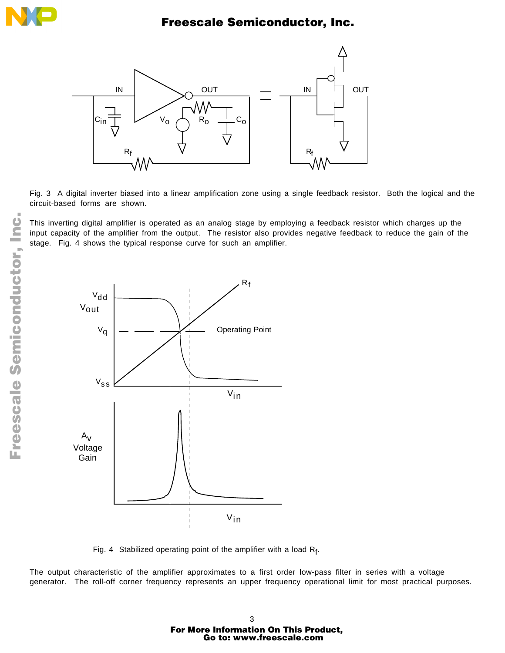



Fig. 3 A digital inverter biased into a linear amplification zone using a single feedback resistor. Both the logical and the circuit-based forms are shown.

This inverting digital amplifier is operated as an analog stage by employing a feedback resistor which charges up the input capacity of the amplifier from the output. The resistor also provides negative feedback to reduce the gain of the stage. Fig. 4 shows the typical response curve for such an amplifier.



Fig. 4 Stabilized operating point of the amplifier with a load  $R_f$ .

The output characteristic of the amplifier approximates to a first order low-pass filter in series with a voltage generator. The roll-off corner frequency represents an upper frequency operational limit for most practical purposes.

F

## 3 For More Information On This Product, Go to: www.freescale.com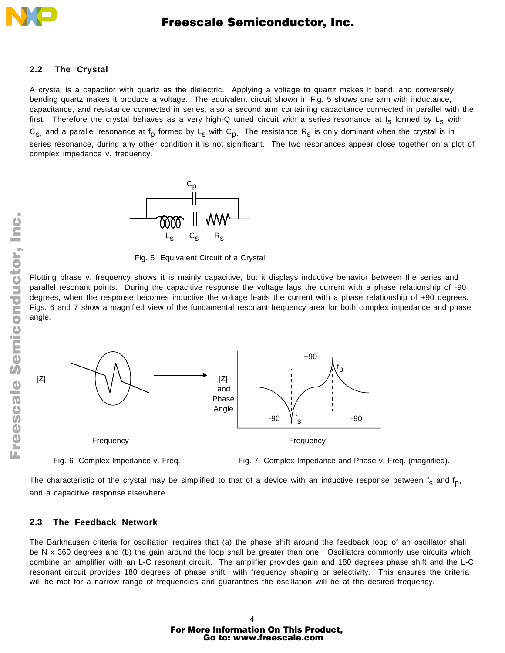

#### **2.2 The Crystal**

A crystal is a capacitor with quartz as the dielectric. Applying a voltage to quartz makes it bend, and conversely, bending quartz makes it produce a voltage. The equivalent circuit shown in Fig. 5 shows one arm with inductance, capacitance, and resistance connected in series, also a second arm containing capacitance connected in parallel with the first. Therefore the crystal behaves as a very high-Q tuned circuit with a series resonance at  $f_s$  formed by L<sub>s</sub> with  $C_{S_1}$  and a parallel resonance at f<sub>p</sub> formed by L<sub>S</sub> with  $C_{D_1}$ . The resistance R<sub>S</sub> is only dominant when the crystal is in series resonance, during any other condition it is not significant. The two resonances appear close together on a plot of complex impedance v. frequency.



Fig. 5 Equivalent Circuit of a Crystal.

Plotting phase v. frequency shows it is mainly capacitive, but it displays inductive behavior between the series and parallel resonant points. During the capacitive response the voltage lags the current with a phase relationship of -90 degrees, when the response becomes inductive the voltage leads the current with a phase relationship of +90 degrees. Figs. 6 and 7 show a magnified view of the fundamental resonant frequency area for both complex impedance and phase angle.



Fig. 6 Complex Impedance v. Freq. Fig. 7 Complex Impedance and Phase v. Freq. (magnified).

The characteristic of the crystal may be simplified to that of a device with an inductive response between  $f_s$  and  $f_p$ , and a capacitive response elsewhere.

#### **2.3 The Feedback Network**

The Barkhausen criteria for oscillation requires that (a) the phase shift around the feedback loop of an oscillator shall be N x 360 degrees and (b) the gain around the loop shall be greater than one. Oscillators commonly use circuits which combine an amplifier with an L-C resonant circuit. The amplifier provides gain and 180 degrees phase shift and the L-C resonant circuit provides 180 degrees of phase shift with frequency shaping or selectivity. This ensures the criteria will be met for a narrow range of frequencies and guarantees the oscillation will be at the desired frequency.

 $\blacksquare$ d u  $\mathbf 0$ t o

r, I

 $\blacksquare$ 

.<br>ق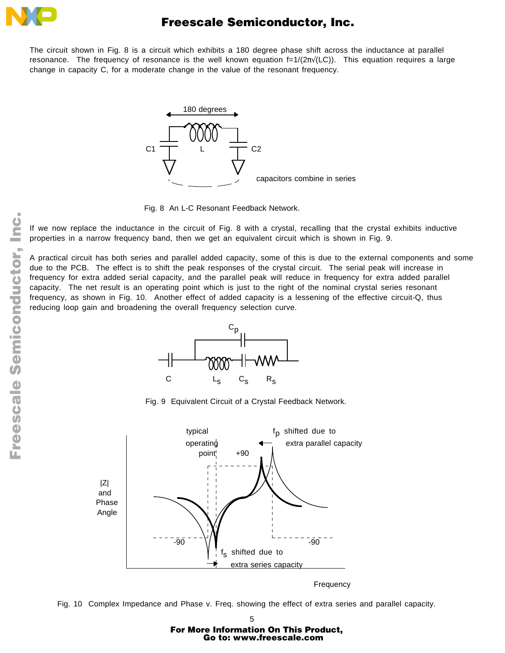

The circuit shown in Fig. 8 is a circuit which exhibits a 180 degree phase shift across the inductance at parallel resonance. The frequency of resonance is the well known equation f=1/(2π√(LC)). This equation requires a large change in capacity C, for a moderate change in the value of the resonant frequency.



Fig. 8 An L-C Resonant Feedback Network.

If we now replace the inductance in the circuit of Fig. 8 with a crystal, recalling that the crystal exhibits inductive properties in a narrow frequency band, then we get an equivalent circuit which is shown in Fig. 9.

A practical circuit has both series and parallel added capacity, some of this is due to the external components and some due to the PCB. The effect is to shift the peak responses of the crystal circuit. The serial peak will increase in frequency for extra added serial capacity, and the parallel peak will reduce in frequency for extra added parallel capacity. The net result is an operating point which is just to the right of the nominal crystal series resonant frequency, as shown in Fig. 10. Another effect of added capacity is a lessening of the effective circuit-Q, thus reducing loop gain and broadening the overall frequency selection curve.



Fig. 9 Equivalent Circuit of a Crystal Feedback Network.



Frequency

Fig. 10 Complex Impedance and Phase v. Freq. showing the effect of extra series and parallel capacity.

# 5 For More Information On This Product, Go to: www.freescale.com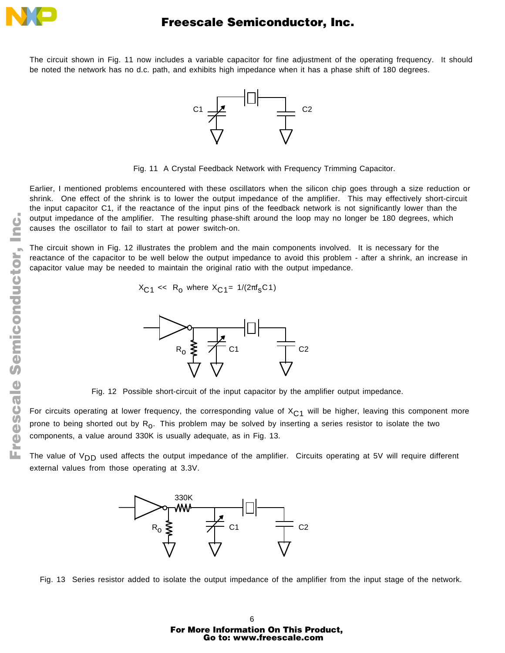

The circuit shown in Fig. 11 now includes a variable capacitor for fine adjustment of the operating frequency. It should be noted the network has no d.c. path, and exhibits high impedance when it has a phase shift of 180 degrees.



Fig. 11 A Crystal Feedback Network with Frequency Trimming Capacitor.

Earlier, I mentioned problems encountered with these oscillators when the silicon chip goes through a size reduction or shrink. One effect of the shrink is to lower the output impedance of the amplifier. This may effectively short-circuit the input capacitor C1, if the reactance of the input pins of the feedback network is not significantly lower than the output impedance of the amplifier. The resulting phase-shift around the loop may no longer be 180 degrees, which causes the oscillator to fail to start at power switch-on.

The circuit shown in Fig. 12 illustrates the problem and the main components involved. It is necessary for the reactance of the capacitor to be well below the output impedance to avoid this problem - after a shrink, an increase in capacitor value may be needed to maintain the original ratio with the output impedance.

 $X_{C1} \ll R_0$  where  $X_{C1} = 1/(2\pi f_S C1)$ 



Fig. 12 Possible short-circuit of the input capacitor by the amplifier output impedance.

For circuits operating at lower frequency, the corresponding value of  $X_{C1}$  will be higher, leaving this component more prone to being shorted out by R<sub>O</sub>. This problem may be solved by inserting a series resistor to isolate the two components, a value around 330K is usually adequate, as in Fig. 13.

The value of  $V_{DD}$  used affects the output impedance of the amplifier. Circuits operating at 5V will require different external values from those operating at 3.3V.





6 For More Information On This Product, Go to: www.freescale.com

F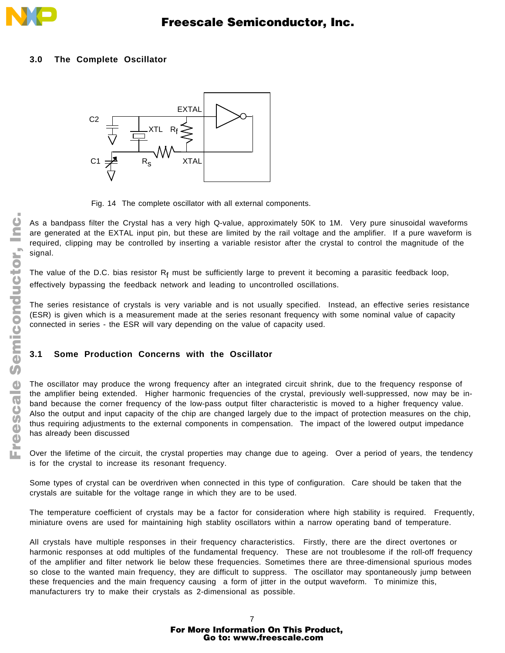

### **3.0 The Complete Oscillator**



Fig. 14 The complete oscillator with all external components.

As a bandpass filter the Crystal has a very high Q-value, approximately 50K to 1M. Very pure sinusoidal waveforms are generated at the EXTAL input pin, but these are limited by the rail voltage and the amplifier. If a pure waveform is required, clipping may be controlled by inserting a variable resistor after the crystal to control the magnitude of the signal.

The value of the D.C. bias resistor  $R_f$  must be sufficiently large to prevent it becoming a parasitic feedback loop, effectively bypassing the feedback network and leading to uncontrolled oscillations.

The series resistance of crystals is very variable and is not usually specified. Instead, an effective series resistance (ESR) is given which is a measurement made at the series resonant frequency with some nominal value of capacity connected in series - the ESR will vary depending on the value of capacity used.

## **3.1 Some Production Concerns with the Oscillator**

The oscillator may produce the wrong frequency after an integrated circuit shrink, due to the frequency response of the amplifier being extended. Higher harmonic frequencies of the crystal, previously well-suppressed, now may be inband because the corner frequency of the low-pass output filter characteristic is moved to a higher frequency value. Also the output and input capacity of the chip are changed largely due to the impact of protection measures on the chip, thus requiring adjustments to the external components in compensation. The impact of the lowered output impedance has already been discussed

Over the lifetime of the circuit, the crystal properties may change due to ageing. Over a period of years, the tendency is for the crystal to increase its resonant frequency.

Some types of crystal can be overdriven when connected in this type of configuration. Care should be taken that the crystals are suitable for the voltage range in which they are to be used.

The temperature coefficient of crystals may be a factor for consideration where high stability is required. Frequently, miniature ovens are used for maintaining high stablity oscillators within a narrow operating band of temperature.

All crystals have multiple responses in their frequency characteristics. Firstly, there are the direct overtones or harmonic responses at odd multiples of the fundamental frequency. These are not troublesome if the roll-off frequency of the amplifier and filter network lie below these frequencies. Sometimes there are three-dimensional spurious modes so close to the wanted main frequency, they are difficult to suppress. The oscillator may spontaneously jump between these frequencies and the main frequency causing a form of jitter in the output waveform. To minimize this, manufacturers try to make their crystals as 2-dimensional as possible.